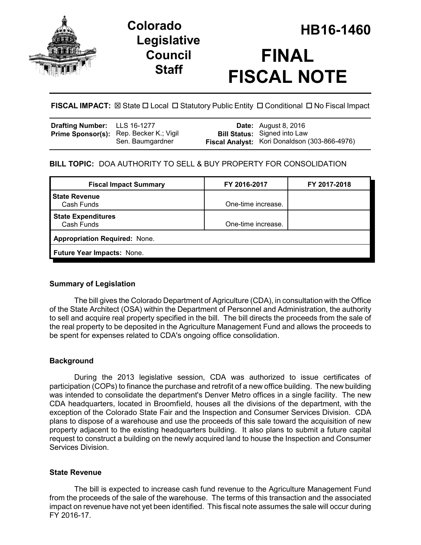

# **Legislative Council Staff**



**FISCAL IMPACT:** ⊠ State  $\Box$  Local  $\Box$  Statutory Public Entity  $\Box$  Conditional  $\Box$  No Fiscal Impact

| Drafting Number: LLS 16-1277 |                                                             | <b>Date:</b> August 8, 2016                                                          |
|------------------------------|-------------------------------------------------------------|--------------------------------------------------------------------------------------|
|                              | Prime Sponsor(s): Rep. Becker K.; Vigil<br>Sen. Baumgardner | <b>Bill Status:</b> Signed into Law<br>Fiscal Analyst: Kori Donaldson (303-866-4976) |

## **BILL TOPIC:** DOA AUTHORITY TO SELL & BUY PROPERTY FOR CONSOLIDATION

| FY 2016-2017                         | FY 2017-2018 |  |  |  |
|--------------------------------------|--------------|--|--|--|
| One-time increase.                   |              |  |  |  |
| One-time increase.                   |              |  |  |  |
| <b>Appropriation Required: None.</b> |              |  |  |  |
| Future Year Impacts: None.           |              |  |  |  |
|                                      |              |  |  |  |

## **Summary of Legislation**

The bill gives the Colorado Department of Agriculture (CDA), in consultation with the Office of the State Architect (OSA) within the Department of Personnel and Administration, the authority to sell and acquire real property specified in the bill. The bill directs the proceeds from the sale of the real property to be deposited in the Agriculture Management Fund and allows the proceeds to be spent for expenses related to CDA's ongoing office consolidation.

## **Background**

During the 2013 legislative session, CDA was authorized to issue certificates of participation (COPs) to finance the purchase and retrofit of a new office building. The new building was intended to consolidate the department's Denver Metro offices in a single facility. The new CDA headquarters, located in Broomfield, houses all the divisions of the department, with the exception of the Colorado State Fair and the Inspection and Consumer Services Division. CDA plans to dispose of a warehouse and use the proceeds of this sale toward the acquisition of new property adjacent to the existing headquarters building. It also plans to submit a future capital request to construct a building on the newly acquired land to house the Inspection and Consumer Services Division.

## **State Revenue**

The bill is expected to increase cash fund revenue to the Agriculture Management Fund from the proceeds of the sale of the warehouse. The terms of this transaction and the associated impact on revenue have not yet been identified. This fiscal note assumes the sale will occur during FY 2016-17.